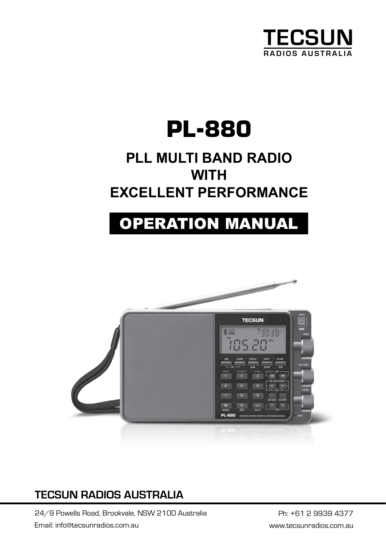

# **PL-880**

## **PLL MULTI BAND RADIO WITH EXCELLENT PERFORMANCE**

# **OPERATION MANUAL**



### *Please read this instruction carefully before using the device* **TECSUN RADIOS AUSTRALIA**

2013.7 VER.1

24/9 Powells Road, Brookvale, NSW 2100 Australia Ph: +61 2 9939 4377 Email: info@tecsunradios.com.au www.tecsunradios.com.au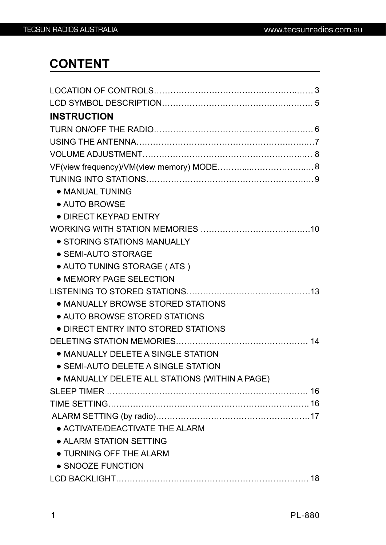### **CONTENT**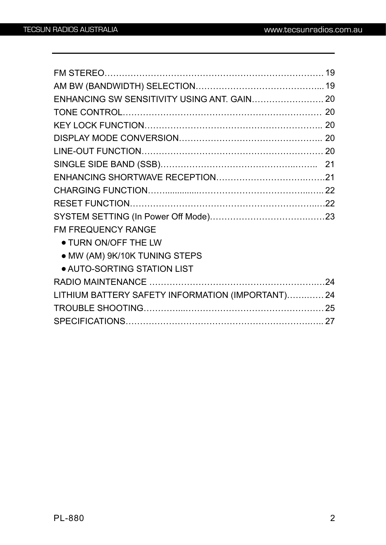| <b>FM FREQUENCY RANGE</b>                        |  |
|--------------------------------------------------|--|
| <b>• TURN ON/OFF THE LW</b>                      |  |
| • MW (AM) 9K/10K TUNING STEPS                    |  |
| <b>. AUTO-SORTING STATION LIST</b>               |  |
|                                                  |  |
| LITHIUM BATTERY SAFETY INFORMATION (IMPORTANT)24 |  |
|                                                  |  |
|                                                  |  |
|                                                  |  |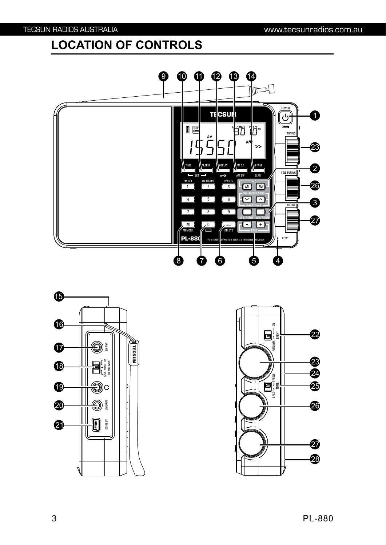### **LOCATION OF CONTROLS**





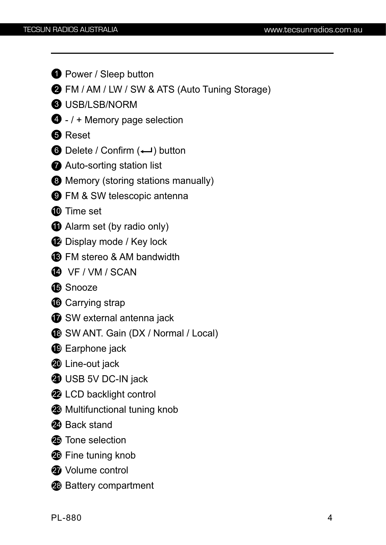- **D** Power / Sleep button
- 2 FM / AM / LW / SW & ATS (Auto Tuning Storage)
- USB/LSB/NORM
- / + Memory page selection
- Reset
- Delete / Confirm (← ) button
- Auto-sorting station list
- Memory (storing stations manually)
- FM & SW telescopic antenna
- $\bf \Phi$  Time set
- Alarm set (by radio only)
- Display mode / Key lock
- FM stereo & AM bandwidth
- VF / VM / SCAN
- Snooze
- Carrying strap
- $\boldsymbol{\mathcal{D}}$  SW external antenna jack
- SW ANT. Gain (DX / Normal / Local)
- Earphone jack
- Line-out jack
- $\bf 3$  USB 5V DC-IN jack
- LCD backlight control
- Multifunctional tuning knob
- Back stand
- Tone selection
- Fine tuning knob
- Volume control
- Battery compartment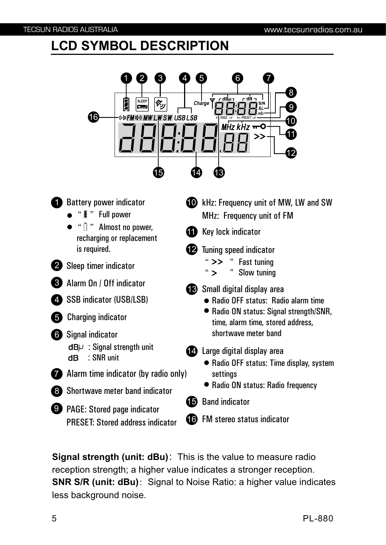### **LCD SYMBOL DESCRIPTION**



**Signal strength (unit: dBu)**: This is the value to measure radio reception strength; a higher value indicates a stronger reception. **SNR S/R (unit: dBu)**: Signal to Noise Ratio: a higher value indicates less background noise.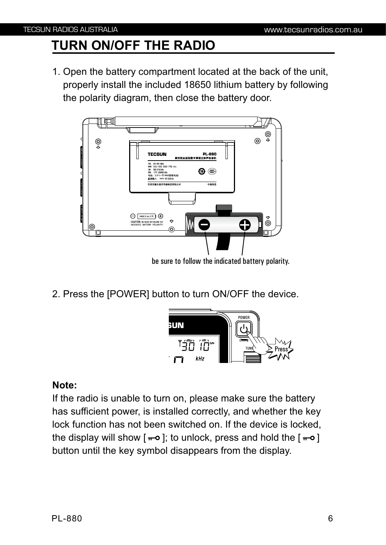### **TURN ON/OFF THE RADIO**

1. Open the battery compartment located at the back of the unit, properly install the included 18650 lithium battery by following the polarity diagram, then close the battery door.



2. Press the [POWER] button to turn ON/OFF the device.



#### **Note:**

If the radio is unable to turn on, please make sure the battery has sufficient power, is installed correctly, and whether the key lock function has not been switched on. If the device is locked, the display will show  $[-6]$ ; to unlock, press and hold the  $[-6]$ button until the key symbol disappears from the display.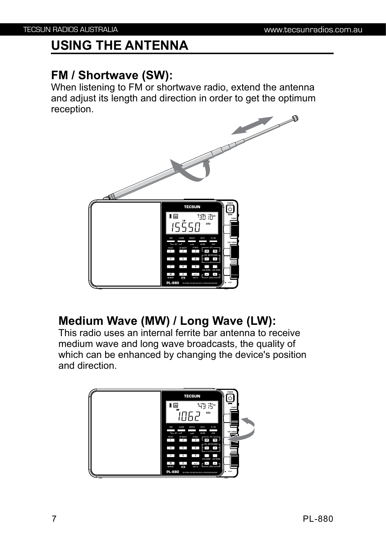### **USING THE ANTENNA**

### **FM / Shortwave (SW):**

When listening to FM or shortwave radio, extend the antenna and adjust its length and direction in order to get the optimum reception.



### **Medium Wave (MW) / Long Wave (LW):**

This radio uses an internal ferrite bar antenna to receive medium wave and long wave broadcasts, the quality of which can be enhanced by changing the device's position and direction.

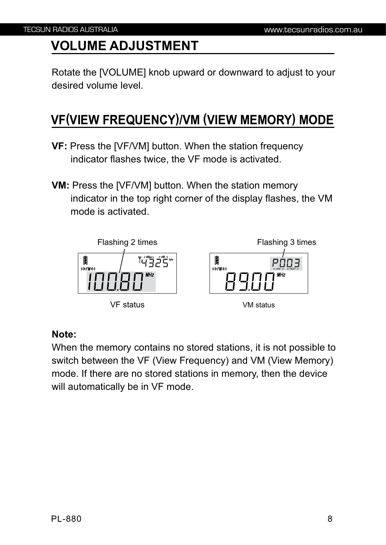### **VOLUME ADJUSTMENT**

Rotate the [VOLUME] knob upward or downward to adjust to your desired volume level.

### **VF(VIEW FREQUENCY)/VM (VIEW MEMORY) MODE**

- **VF:** Press the [VF/VM] button. When the station frequency indicator flashes twice, the VF mode is activated.
- **VM:** Press the [VF/VM] button. When the station memory indicator in the top right corner of the display flashes, the VM mode is activated.



#### **Note:**

When the memory contains no stored stations, it is not possible to switch between the VF (View Frequency) and VM (View Memory) mode. If there are no stored stations in memory, then the device will automatically be in VF mode.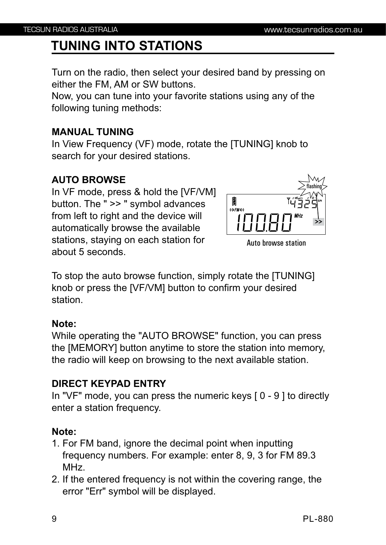### **TUNING INTO STATIONS**

Turn on the radio, then select your desired band by pressing on either the FM, AM or SW buttons.

Now, you can tune into your favorite stations using any of the following tuning methods:

#### **MANUAL TUNING**

In View Frequency (VF) mode, rotate the [TUNING] knob to search for your desired stations.

#### **AUTO BROWSE**

In VF mode, press & hold the [VF/VM] button. The " >> " symbol advances from left to right and the device will automatically browse the available stations, staying on each station for about 5 seconds.



Auto browse station

To stop the auto browse function, simply rotate the [TUNING] knob or press the [VF/VM] button to confirm your desired station.

#### **Note:**

While operating the "AUTO BROWSE" function, you can press the [MEMORY] button anytime to store the station into memory, the radio will keep on browsing to the next available station.

#### **DIRECT KEYPAD ENTRY**

In "VF" mode, you can press the numeric keys [ 0 - 9 ] to directly enter a station frequency.

#### **Note:**

- 1. For FM band, ignore the decimal point when inputting frequency numbers. For example: enter 8, 9, 3 for FM 89.3 MHz.
- 2. If the entered frequency is not within the covering range, the error "Err" symbol will be displayed.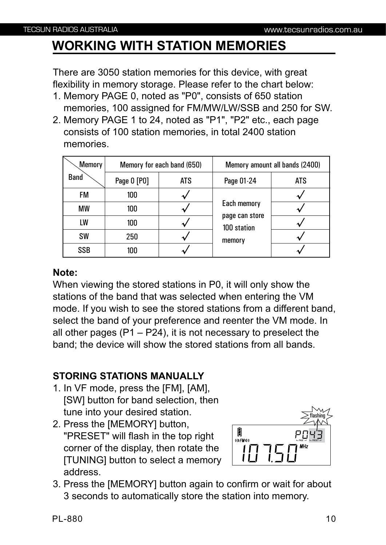### **WORKING WITH STATION MEMORIES**

There are 3050 station memories for this device, with great flexibility in memory storage. Please refer to the chart below:

- 1. Memory PAGE 0, noted as "P0", consists of 650 station memories, 100 assigned for FM/MW/LW/SSB and 250 for SW.
- 2. Memory PAGE 1 to 24, noted as "P1", "P2" etc., each page consists of 100 station memories, in total 2400 station memories.

| Memory      | Memory for each band (650) |     |                                                        | Memory amount all bands (2400) |
|-------------|----------------------------|-----|--------------------------------------------------------|--------------------------------|
| <b>Band</b> | Page 0 [P0]                | ATS | Page 01-24                                             | <b>ATS</b>                     |
| <b>FM</b>   | 100                        |     | Each memory<br>page can store<br>100 station<br>memory |                                |
| MW          | 100                        |     |                                                        |                                |
| LW          | 100                        |     |                                                        |                                |
| <b>SW</b>   | 250                        |     |                                                        |                                |
| <b>SSB</b>  | 100                        |     |                                                        |                                |

#### **Note:**

When viewing the stored stations in P0, it will only show the stations of the band that was selected when entering the VM mode. If you wish to see the stored stations from a different band, select the band of your preference and reenter the VM mode. In all other pages  $(P1 - P24)$ , it is not necessary to preselect the band; the device will show the stored stations from all bands.

#### **STORING STATIONS MANUALLY**

- 1. In VF mode, press the [FM], [AM], [SW] button for band selection, then tune into your desired station.
- 2. Press the [MEMORY] button, "PRESET" will flash in the top right corner of the display, then rotate the [TUNING] button to select a memory address.



3. Press the [MEMORY] button again to confirm or wait for about 3 seconds to automatically store the station into memory.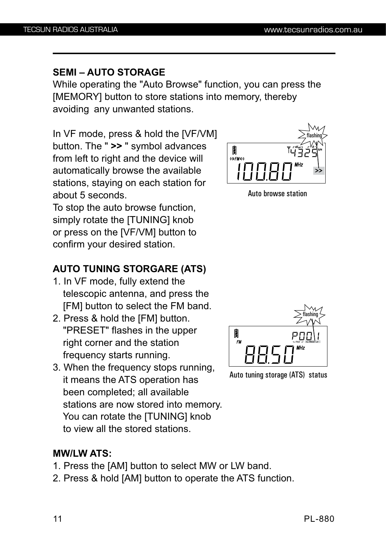#### **SEMI – AUTO STORAGE**

While operating the "Auto Browse" function, you can press the [MEMORY] button to store stations into memory, thereby avoiding any unwanted stations.

In VF mode, press & hold the [VF/VM] button. The " **>>** " symbol advances from left to right and the device will automatically browse the available stations, staying on each station for about 5 seconds.

To stop the auto browse function, simply rotate the [TUNING] knob or press on the [VF/VM] button to confirm your desired station.

### **AUTO TUNING STORGARE (ATS)**

- 1. In VF mode, fully extend the telescopic antenna, and press the [FM] button to select the FM band.
- 2. Press & hold the [FM] button. "PRESET" flashes in the upper right corner and the station frequency starts running.
- 3. When the frequency stops running, it means the ATS operation has been completed; all available stations are now stored into memory. You can rotate the [TUNING] knob to view all the stored stations.

#### **MW/LW ATS:**

- 1. Press the [AM] button to select MW or LW band.
- 2. Press & hold [AM] button to operate the ATS function.



Auto browse station



Auto tuning storage (ATS) status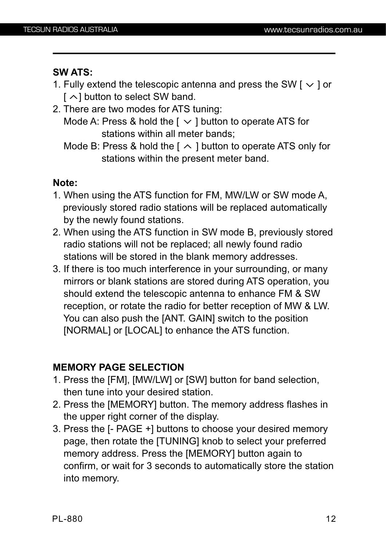#### **SW ATS:**

- 1. Fully extend the telescopic antenna and press the SW  $\lceil \vee \rceil$  or  $\lceil \bigwedge$  button to select SW band.
- 2. There are two modes for ATS tuning: Mode A: Press & hold the  $[ \vee ]$  button to operate ATS for

stations within all meter bands;

Mode B: Press & hold the  $\lceil \sim \rceil$  button to operate ATS only for stations within the present meter band.

#### **Note:**

- 1. When using the ATS function for FM, MW/LW or SW mode A, previously stored radio stations will be replaced automatically by the newly found stations.
- 2. When using the ATS function in SW mode B, previously stored radio stations will not be replaced; all newly found radio stations will be stored in the blank memory addresses.
- 3. If there is too much interference in your surrounding, or many mirrors or blank stations are stored during ATS operation, you should extend the telescopic antenna to enhance FM & SW reception, or rotate the radio for better reception of MW & LW. You can also push the [ANT. GAIN] switch to the position [NORMAL] or [LOCAL] to enhance the ATS function.

#### **MEMORY PAGE SELECTION**

- 1. Press the [FM], [MW/LW] or [SW] button for band selection, then tune into your desired station.
- 2. Press the [MEMORY] button. The memory address flashes in the upper right corner of the display.
- 3. Press the [- PAGE +] buttons to choose your desired memory page, then rotate the [TUNING] knob to select your preferred memory address. Press the [MEMORY] button again to confirm, or wait for 3 seconds to automatically store the station into memory.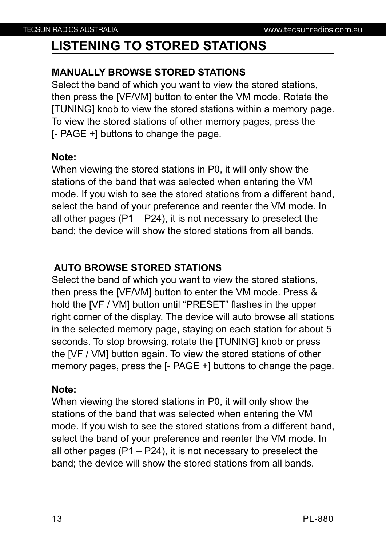### **LISTENING TO STORED STATIONS**

#### **MANUALLY BROWSE STORED STATIONS**

Select the band of which you want to view the stored stations, then press the [VF/VM] button to enter the VM mode. Rotate the [TUNING] knob to view the stored stations within a memory page. To view the stored stations of other memory pages, press the [- PAGE +] buttons to change the page.

#### **Note:**

When viewing the stored stations in P0, it will only show the stations of the band that was selected when entering the VM mode. If you wish to see the stored stations from a different band, select the band of your preference and reenter the VM mode. In all other pages  $(P1 - P24)$ , it is not necessary to preselect the band; the device will show the stored stations from all bands.

#### **AUTO BROWSE STORED STATIONS**

Select the band of which you want to view the stored stations, then press the [VF/VM] button to enter the VM mode. Press & hold the [VF / VM] button until "PRESET" flashes in the upper right corner of the display. The device will auto browse all stations in the selected memory page, staying on each station for about 5 seconds. To stop browsing, rotate the [TUNING] knob or press the [VF / VM] button again. To view the stored stations of other memory pages, press the [- PAGE +] buttons to change the page.

#### **Note:**

When viewing the stored stations in P0, it will only show the stations of the band that was selected when entering the VM mode. If you wish to see the stored stations from a different band, select the band of your preference and reenter the VM mode. In all other pages  $(P1 - P24)$ , it is not necessary to preselect the band; the device will show the stored stations from all bands.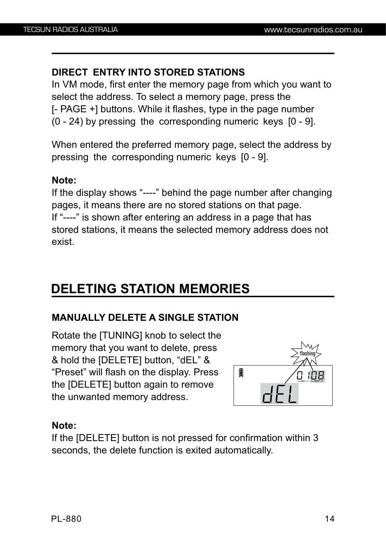#### **DIRECT ENTRY INTO STORED STATIONS**

In VM mode, first enter the memory page from which you want to select the address. To select a memory page, press the [- PAGE +] buttons. While it flashes, type in the page number (0 - 24) by pressing the corresponding numeric keys [0 - 9].

When entered the preferred memory page, select the address by pressing the corresponding numeric keys [0 - 9].

#### **Note:**

If the display shows "----" behind the page number after changing pages, it means there are no stored stations on that page. If "----" is shown after entering an address in a page that has stored stations, it means the selected memory address does not exist.

### **DELETING STATION MEMORIES**

#### **MANUALLY DELETE A SINGLE STATION**

Rotate the [TUNING] knob to select the memory that you want to delete, press & hold the [DELETE] button, "dEL" & "Preset" will flash on the display. Press the [DELETE] button again to remove the unwanted memory address.



#### **Note:**

If the [DELETE] button is not pressed for confirmation within 3 seconds, the delete function is exited automatically.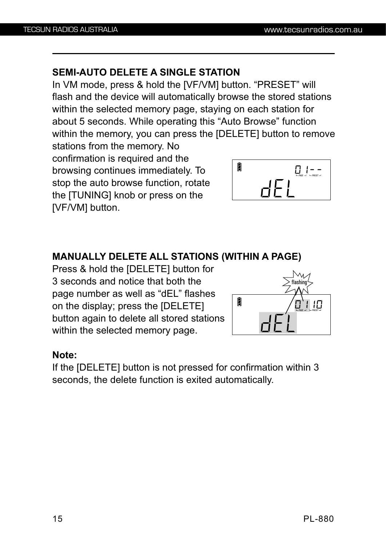#### **SEMI-AUTO DELETE A SINGLE STATION**

In VM mode, press & hold the [VF/VM] button. "PRESET" will flash and the device will automatically browse the stored stations within the selected memory page, staying on each station for about 5 seconds. While operating this "Auto Browse" function within the memory, you can press the [DELETE] button to remove

stations from the memory. No confirmation is required and the browsing continues immediately. To stop the auto browse function, rotate the [TUNING] knob or press on the [VF/VM] button.



#### **MANUALLY DELETE ALL STATIONS (WITHIN A PAGE)**

Press & hold the [DELETE] button for 3 seconds and notice that both the page number as well as "dEL" flashes on the display; press the [DELETE] button again to delete all stored stations within the selected memory page.



#### **Note:**

If the [DELETE] button is not pressed for confirmation within 3 seconds, the delete function is exited automatically.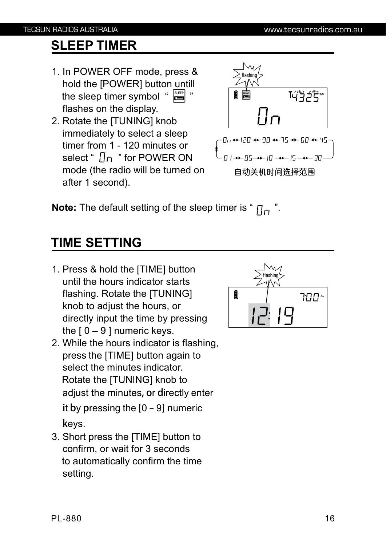### **SLEEP TIMER**

- 1. In POWER OFF mode, press & hold the [POWER] button untill ihe sleep timer symbol " **الصَّا** " flashes on the display.
- 2. Rotate the [TUNING] knob immediately to select a sleep timer from 1 - 120 minutes or select "  $\Box \cap$  " for POWER ON mode (the radio will be turned on after 1 second).



**Note:** The default setting of the sleep timer is " $\prod_{n=1}^{\infty}$ ".

### **TIME SETTING**

- 1. Press & hold the [TIME] button until the hours indicator starts flashing. Rotate the [TUNING] knob to adjust the hours, or directly input the time by pressing the  $10 - 9$  I numeric keys.
- 2. While the hours indicator is flashing, press the [TIME] button again to select the minutes indicator. Rotate the [TUNING] knob to adjust the minutes**, o**r **d**irectly enter  **i**t **b**y **p**ressing the **[**0 – 9**] n**umeric **k**eys.
- 3. Short press the [TIME] button to confirm, or wait for 3 seconds to automatically confirm the time setting.

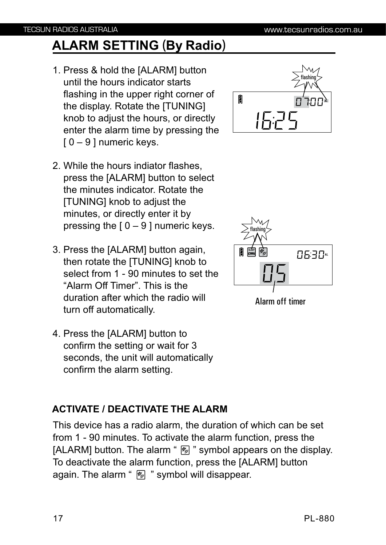## **ALARM SETTING (By Radio)**

- 1. Press & hold the [ALARM] button until the hours indicator starts flashing in the upper right corner of the display. Rotate the [TUNING] knob to adjust the hours, or directly enter the alarm time by pressing the  $[0 - 9]$  numeric keys.
- 2. While the hours indiator flashes, press the [ALARM] button to select the minutes indicator. Rotate the [TUNING] knob to adjust the minutes, or directly enter it by pressing the  $[0 - 9]$  numeric keys.
- 3. Press the [ALARM] button again, then rotate the [TUNING] knob to select from 1 - 90 minutes to set the "Alarm Off Timer". This is the duration after which the radio will turn off automatically.
- 4. Press the [ALARM] button to confirm the setting or wait for 3 seconds, the unit will automatically confirm the alarm setting.

### **ACTIVATE / DEACTIVATE THE ALARM**

This device has a radio alarm, the duration of which can be set from 1 - 90 minutes. To activate the alarm function, press the [ALARM] button. The alarm " $\mathbb{Z}$ " symbol appears on the display. To deactivate the alarm function, press the [ALARM] button again. The alarm " $\mathbb{Z}$ " symbol will disappear.



Alarm off timer

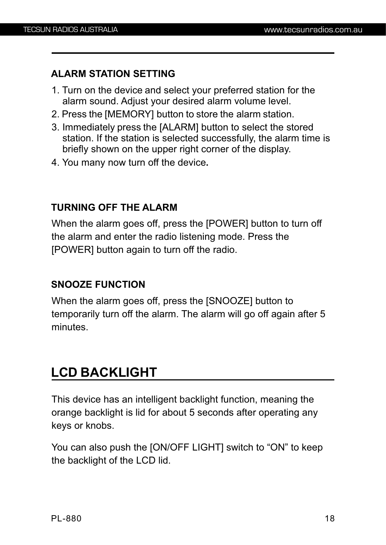#### **ALARM STATION SETTING**

- 1. Turn on the device and select your preferred station for the alarm sound. Adjust your desired alarm volume level.
- 2. Press the [MEMORY] button to store the alarm station.
- 3. Immediately press the [ALARM] button to select the stored station. If the station is selected successfully, the alarm time is briefly shown on the upper right corner of the display.
- 4. You many now turn off the device**.**

#### **TURNING OFF THE ALARM**

When the alarm goes off, press the [POWER] button to turn off the alarm and enter the radio listening mode. Press the [POWER] button again to turn off the radio.

#### **SNOOZE FUNCTION**

When the alarm goes off, press the [SNOOZE] button to temporarily turn off the alarm. The alarm will go off again after 5 minutes.

### **LCD BACKLIGHT**

This device has an intelligent backlight function, meaning the orange backlight is lid for about 5 seconds after operating any keys or knobs.

You can also push the [ON/OFF LIGHT] switch to "ON" to keep the backlight of the LCD lid.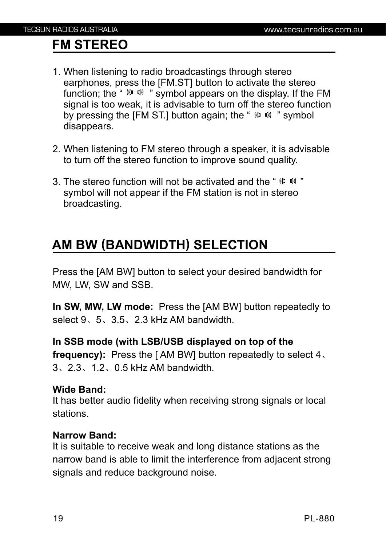### **FM STEREO**

- 1. When listening to radio broadcastings through stereo earphones, press the [FM.ST] button to activate the stereo function; the "  $\sqrt{w}$   $\sqrt{w}$  " symbol appears on the display. If the FM signal is too weak, it is advisable to turn off the stereo function by pressing the [FM ST.] button again; the "  $\omega$   $\omega$  " symbol disappears.
- 2. When listening to FM stereo through a speaker, it is advisable to turn off the stereo function to improve sound quality.
- 3. The stereo function will not be activated and the "  $\binom{10}{10}$   $\binom{10}{10}$   $\binom{10}{10}$  symbol will not appear if the FM station is not in stereo broadcasting.

### **AM BW (BANDWIDTH) SELECTION**

Press the [AM BW] button to select your desired bandwidth for MW, LW, SW and SSB.

**In SW, MW, LW mode:** Press the [AM BW] button repeatedly to select 9、5、3.5、2.3 kHz AM bandwidth.

#### **In SSB mode (with LSB/USB displayed on top of the**

**frequency):** Press the [ AM BW] button repeatedly to select 4、 3、2.3、1.2、0.5 kHz AM bandwidth.

#### **Wide Band:**

It has better audio fidelity when receiving strong signals or local stations.

#### **Narrow Band:**

It is suitable to receive weak and long distance stations as the narrow band is able to limit the interference from adjacent strong signals and reduce background noise.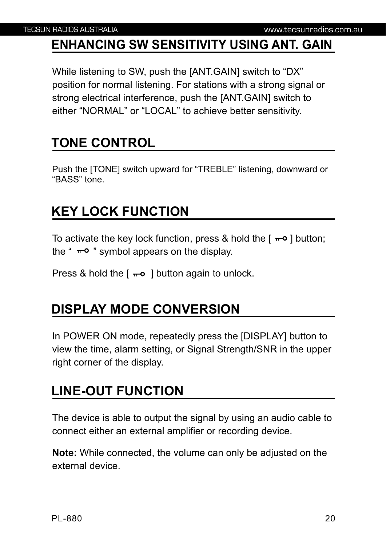### **ENHANCING SW SENSITIVITY USING ANT. GAIN**

While listening to SW, push the [ANT.GAIN] switch to "DX" position for normal listening. For stations with a strong signal or strong electrical interference, push the [ANT.GAIN] switch to either "NORMAL" or "LOCAL" to achieve better sensitivity.

### **TONE CONTROL**

Push the [TONE] switch upward for "TREBLE" listening, downward or "BASS" tone.

### **KEY LOCK FUNCTION**

To activate the key lock function, press & hold the  $[-\infty]$  button; the " $\pi$ <sup>o</sup> " symbol appears on the display.

Press & hold the  $\lceil -\infty \rceil$  button again to unlock.

### **DISPLAY MODE CONVERSION**

In POWER ON mode, repeatedly press the [DISPLAY] button to view the time, alarm setting, or Signal Strength/SNR in the upper right corner of the display.

### **LINE-OUT FUNCTION**

The device is able to output the signal by using an audio cable to connect either an external amplifier or recording device.

**Note:** While connected, the volume can only be adjusted on the external device.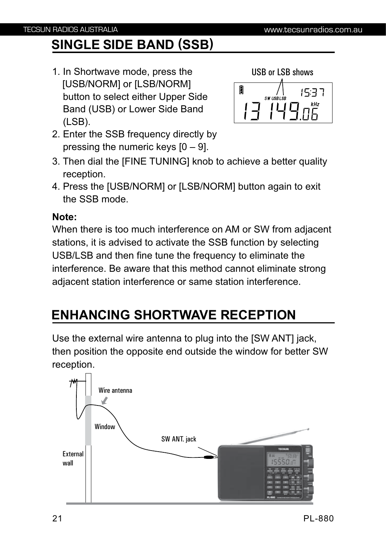### **SINGLE SIDE BAND (SSB)**

1. In Shortwave mode, press the [USB/NORM] or [LSB/NORM] button to select either Upper Side Band (USB) or Lower Side Band (LSB).



- 2. Enter the SSB frequency directly by pressing the numeric keys  $[0 - 9]$ .
- 3. Then dial the [FINE TUNING] knob to achieve a better quality reception.
- 4. Press the [USB/NORM] or [LSB/NORM] button again to exit the SSB mode.

#### **Note:**

When there is too much interference on AM or SW from adjacent stations, it is advised to activate the SSB function by selecting USB/LSB and then fine tune the frequency to eliminate the interference. Be aware that this method cannot eliminate strong adjacent station interference or same station interference.

### **ENHANCING SHORTWAVE RECEPTION**

Use the external wire antenna to plug into the [SW ANT] jack, then position the opposite end outside the window for better SW reception.

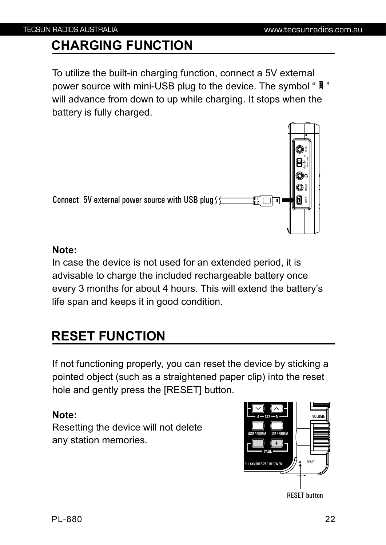### **CHARGING FUNCTION**

To utilize the built-in charging function, connect a 5V external power source with mini-USB plug to the device. The symbol "  $[$  " will advance from down to up while charging. It stops when the battery is fully charged.



#### **Note:**

In case the device is not used for an extended period, it is advisable to charge the included rechargeable battery once every 3 months for about 4 hours. This will extend the battery's life span and keeps it in good condition.

### **RESET FUNCTION**

If not functioning properly, you can reset the device by sticking a pointed object (such as a straightened paper clip) into the reset hole and gently press the [RESET] button.

#### **Note:**

Resetting the device will not delete any station memories.

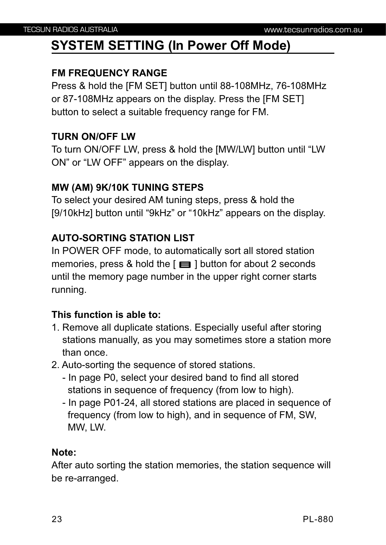### **SYSTEM SETTING (In Power Off Mode)**

#### **FM FREQUENCY RANGE**

Press & hold the [FM SET] button until 88-108MHz, 76-108MHz or 87-108MHz appears on the display. Press the [FM SET] button to select a suitable frequency range for FM.

#### **TURN ON/OFF LW**

To turn ON/OFF LW, press & hold the [MW/LW] button until "LW ON" or "LW OFF" appears on the display.

#### **MW (AM) 9K/10K TUNING STEPS**

To select your desired AM tuning steps, press & hold the [9/10kHz] button until "9kHz" or "10kHz" appears on the display.

#### **AUTO-SORTING STATION LIST**

In POWER OFF mode, to automatically sort all stored station memories, press & hold the  $\lceil \equiv \rceil$  button for about 2 seconds until the memory page number in the upper right corner starts running.

#### **This function is able to:**

- 1. Remove all duplicate stations. Especially useful after storing stations manually, as you may sometimes store a station more than once.
- 2. Auto-sorting the sequence of stored stations.
	- In page P0, select your desired band to find all stored stations in sequence of frequency (from low to high).
	- In page P01-24, all stored stations are placed in sequence of frequency (from low to high), and in sequence of FM, SW, MW, LW.

#### **Note:**

After auto sorting the station memories, the station sequence will be re-arranged.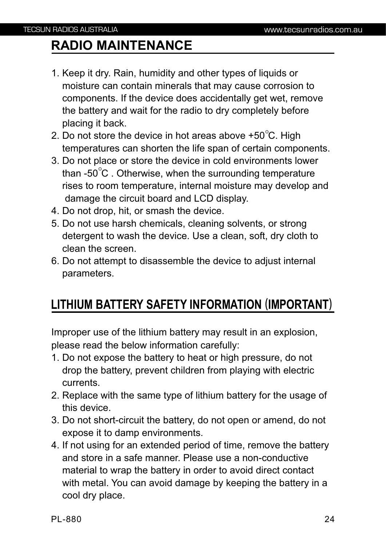### **RADIO MAINTENANCE**

- 1. Keep it dry. Rain, humidity and other types of liquids or moisture can contain minerals that may cause corrosion to components. If the device does accidentally get wet, remove the battery and wait for the radio to dry completely before placing it back.
- 2. Do not store the device in hot areas above +50 $^{\circ}$ C. High temperatures can shorten the life span of certain components.
- 3. Do not place or store the device in cold environments lower than -50 $\mathrm{^{\circ}C}$  . Otherwise, when the surrounding temperature rises to room temperature, internal moisture may develop and damage the circuit board and LCD display.
- 4. Do not drop, hit, or smash the device.
- 5. Do not use harsh chemicals, cleaning solvents, or strong detergent to wash the device. Use a clean, soft, dry cloth to clean the screen.
- 6. Do not attempt to disassemble the device to adjust internal parameters.

### **LITHIUM BATTERY SAFETY INFORMATION (IMPORTANT)**

Improper use of the lithium battery may result in an explosion, please read the below information carefully:

- 1. Do not expose the battery to heat or high pressure, do not drop the battery, prevent children from playing with electric currents.
- 2. Replace with the same type of lithium battery for the usage of this device.
- 3. Do not short-circuit the battery, do not open or amend, do not expose it to damp environments.
- 4. If not using for an extended period of time, remove the battery and store in a safe manner. Please use a non-conductive material to wrap the battery in order to avoid direct contact with metal. You can avoid damage by keeping the battery in a cool dry place.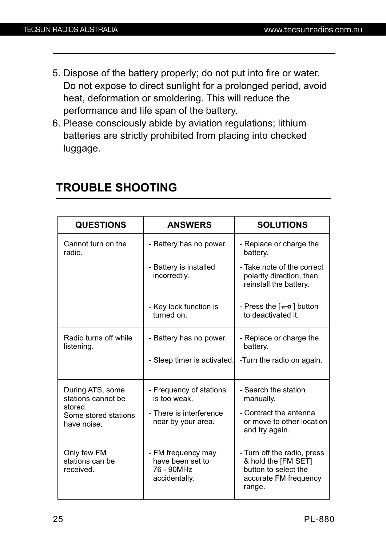- 5. Dispose of the battery properly; do not put into fire or water. Do not expose to direct sunlight for a prolonged period, avoid heat, deformation or smoldering. This will reduce the performance and life span of the battery.
- 6. Please consciously abide by aviation regulations; lithium batteries are strictly prohibited from placing into checked luggage.

| <b>QUESTIONS</b>                               | <b>ANSWERS</b>                                                        | <b>SOLUTIONS</b>                                                                                              |
|------------------------------------------------|-----------------------------------------------------------------------|---------------------------------------------------------------------------------------------------------------|
| Cannot turn on the<br>radio.                   | - Battery has no power.                                               | - Replace or charge the<br>battery.                                                                           |
|                                                | - Battery is installed<br>incorrectly.                                | - Take note of the correct<br>polarity direction, then<br>reinstall the battery.                              |
|                                                | - Key lock function is<br>turned on.                                  | - Press the $\lceil -\bullet \rceil$ button<br>to deactivated it.                                             |
| Radio turns off while<br>listening.            | - Battery has no power.                                               | - Replace or charge the<br>battery.                                                                           |
|                                                | - Sleep timer is activated.                                           | -Turn the radio on again.                                                                                     |
| During ATS, some<br>stations cannot be         | - Frequency of stations<br>is too weak.                               | - Search the station<br>manually.                                                                             |
| stored.<br>Some stored stations<br>have noise. | - There is interference<br>near by your area.                         | - Contract the antenna<br>or move to other location<br>and try again.                                         |
| Only few FM<br>stations can be<br>received.    | - FM frequency may<br>have been set to<br>76 - 90MHz<br>accidentally. | - Turn off the radio, press<br>& hold the [FM SET]<br>button to select the<br>accurate FM frequency<br>range. |

### **TROUBLE SHOOTING**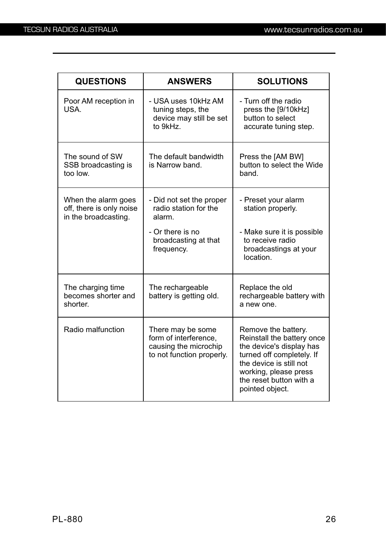| <b>QUESTIONS</b>                                                        | <b>ANSWERS</b>                                                                                   | <b>SOLUTIONS</b>                                                                                                                                                                                             |
|-------------------------------------------------------------------------|--------------------------------------------------------------------------------------------------|--------------------------------------------------------------------------------------------------------------------------------------------------------------------------------------------------------------|
| Poor AM reception in<br>USA.                                            | - USA uses 10kHz AM<br>tuning steps, the<br>device may still be set<br>to 9kHz.                  | - Turn off the radio<br>press the [9/10kHz]<br>button to select<br>accurate tuning step.                                                                                                                     |
| The sound of SW<br>SSB broadcasting is<br>too low.                      | The default bandwidth<br>is Narrow band.                                                         | Press the [AM BW]<br>button to select the Wide<br>band.                                                                                                                                                      |
| When the alarm goes<br>off, there is only noise<br>in the broadcasting. | - Did not set the proper<br>radio station for the<br>alarm.                                      | - Preset your alarm<br>station properly.                                                                                                                                                                     |
|                                                                         | - Or there is no<br>broadcasting at that<br>frequency.                                           | - Make sure it is possible<br>to receive radio<br>broadcastings at your<br>location.                                                                                                                         |
| The charging time<br>becomes shorter and<br>shorter.                    | The rechargeable<br>battery is getting old.                                                      | Replace the old<br>rechargeable battery with<br>a new one.                                                                                                                                                   |
| Radio malfunction                                                       | There may be some<br>form of interference,<br>causing the microchip<br>to not function properly. | Remove the battery.<br>Reinstall the battery once<br>the device's display has<br>turned off completely. If<br>the device is still not<br>working, please press<br>the reset button with a<br>pointed object. |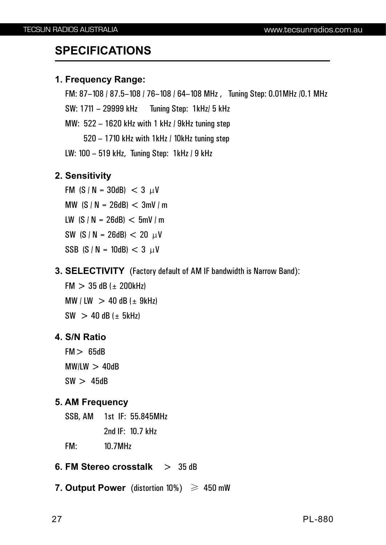### **SPECIFICATIONS**

#### **1. Frequency Range:**

FM: 87-108 / 87.5-108 / 76-108 / 64-108 MHz, Tuning Step: 0.01MHz /0.1 MHz SW: 1711 29999 kHz Tuning Step: 1kHz/ 5 kHz – MW: 522 – 1620 kHz with 1 kHz / 9kHz tuning step 520 – 1710 kHz with 1kHz / 10kHz tuning step LW: 100 – 519 kHz, Tuning Step: 1kHz / 9 kHz

#### **2. Sensitivity**

FM  $(S/N = 30dB) < 3 \mu V$ MW  $(S / N = 26dB) < 3mV/m$ LW  $(S / N = 26dB) < 5mV/m$ SW (S / N = 26dB)  $< 20 \mu V$ SSB (S / N = 10dB)  $<$  3  $\mu$ V

**3. SELECTIVITY** (Factory default of AM IF bandwidth is Narrow Band):

 $FM > 35 dB (± 200 kHz)$ MW / LW  $>$  40 dB ( $\pm$  9kHz)  $SW$  > 40 dB ( $\pm$  5kHz)

#### **4. S/N Ratio**

 FM> 65dB  $MW/EW > 40dB$  $SW > 45dB$ 

#### **5. AM Frequency**

SSB, AM 1st IF: 55.845MHz

2nd IF: 10.7 kHz

FM: 10.7MHz

#### **6. FM Stereo crosstalk** > 35 dB

**7. Output Power** (distortion 10%) ≥ 450 mW